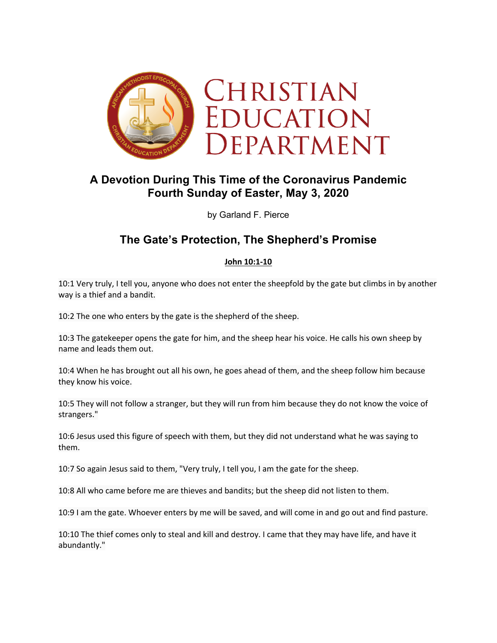

## **A Devotion During This Time of the Coronavirus Pandemic Fourth Sunday of Easter, May 3, 2020**

by Garland F. Pierce

# **The Gate's Protection, The Shepherd's Promise**

#### **John 10:1-10**

10:1 Very truly, I tell you, anyone who does not enter the sheepfold by the gate but climbs in by another way is a thief and a bandit.

10:2 The one who enters by the gate is the shepherd of the sheep.

10:3 The gatekeeper opens the gate for him, and the sheep hear his voice. He calls his own sheep by name and leads them out.

10:4 When he has brought out all his own, he goes ahead of them, and the sheep follow him because they know his voice.

10:5 They will not follow a stranger, but they will run from him because they do not know the voice of strangers."

10:6 Jesus used this figure of speech with them, but they did not understand what he was saying to them.

10:7 So again Jesus said to them, "Very truly, I tell you, I am the gate for the sheep.

10:8 All who came before me are thieves and bandits; but the sheep did not listen to them.

10:9 I am the gate. Whoever enters by me will be saved, and will come in and go out and find pasture.

10:10 The thief comes only to steal and kill and destroy. I came that they may have life, and have it abundantly."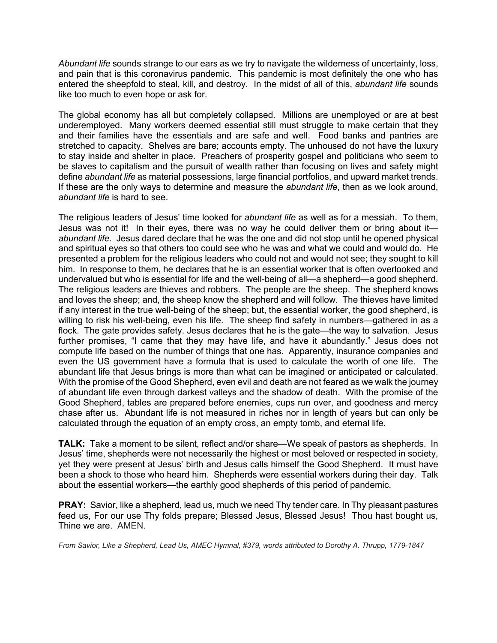*Abundant life* sounds strange to our ears as we try to navigate the wilderness of uncertainty, loss, and pain that is this coronavirus pandemic. This pandemic is most definitely the one who has entered the sheepfold to steal, kill, and destroy. In the midst of all of this, *abundant life* sounds like too much to even hope or ask for.

The global economy has all but completely collapsed. Millions are unemployed or are at best underemployed. Many workers deemed essential still must struggle to make certain that they and their families have the essentials and are safe and well. Food banks and pantries are stretched to capacity. Shelves are bare; accounts empty. The unhoused do not have the luxury to stay inside and shelter in place. Preachers of prosperity gospel and politicians who seem to be slaves to capitalism and the pursuit of wealth rather than focusing on lives and safety might define *abundant life* as material possessions, large financial portfolios, and upward market trends. If these are the only ways to determine and measure the *abundant life*, then as we look around, *abundant life* is hard to see.

The religious leaders of Jesus' time looked for *abundant life* as well as for a messiah. To them, Jesus was not it! In their eyes, there was no way he could deliver them or bring about it *abundant life*. Jesus dared declare that he was the one and did not stop until he opened physical and spiritual eyes so that others too could see who he was and what we could and would do. He presented a problem for the religious leaders who could not and would not see; they sought to kill him. In response to them, he declares that he is an essential worker that is often overlooked and undervalued but who is essential for life and the well-being of all—a shepherd—a good shepherd. The religious leaders are thieves and robbers. The people are the sheep. The shepherd knows and loves the sheep; and, the sheep know the shepherd and will follow. The thieves have limited if any interest in the true well-being of the sheep; but, the essential worker, the good shepherd, is willing to risk his well-being, even his life. The sheep find safety in numbers—gathered in as a flock. The gate provides safety. Jesus declares that he is the gate—the way to salvation. Jesus further promises, "I came that they may have life, and have it abundantly." Jesus does not compute life based on the number of things that one has. Apparently, insurance companies and even the US government have a formula that is used to calculate the worth of one life. The abundant life that Jesus brings is more than what can be imagined or anticipated or calculated. With the promise of the Good Shepherd, even evil and death are not feared as we walk the journey of abundant life even through darkest valleys and the shadow of death. With the promise of the Good Shepherd, tables are prepared before enemies, cups run over, and goodness and mercy chase after us. Abundant life is not measured in riches nor in length of years but can only be calculated through the equation of an empty cross, an empty tomb, and eternal life.

**TALK:** Take a moment to be silent, reflect and/or share—We speak of pastors as shepherds. In Jesus' time, shepherds were not necessarily the highest or most beloved or respected in society, yet they were present at Jesus' birth and Jesus calls himself the Good Shepherd. It must have been a shock to those who heard him. Shepherds were essential workers during their day. Talk about the essential workers—the earthly good shepherds of this period of pandemic.

**PRAY:** Savior, like a shepherd, lead us, much we need Thy tender care. In Thy pleasant pastures feed us, For our use Thy folds prepare; Blessed Jesus, Blessed Jesus! Thou hast bought us, Thine we are. AMEN.

*From Savior, Like a Shepherd, Lead Us, AMEC Hymnal, #379, words attributed to Dorothy A. Thrupp, 1779-1847*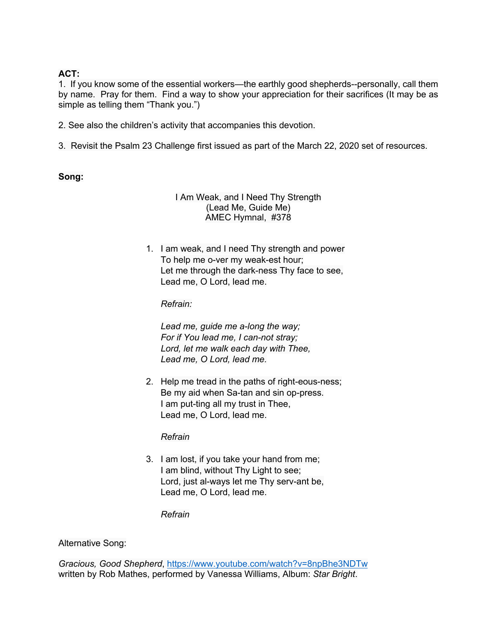### **ACT:**

1.If you know some of the essential workers—the earthly good shepherds--personally, call them by name. Pray for them. Find a way to show your appreciation for their sacrifices (It may be as simple as telling them "Thank you.")

- 2. See also the children's activity that accompanies this devotion.
- 3. Revisit the Psalm 23 Challenge first issued as part of the March 22, 2020 set of resources.

### **Song:**

#### I Am Weak, and I Need Thy Strength (Lead Me, Guide Me) AMEC Hymnal, #378

1. I am weak, and I need Thy strength and power To help me o-ver my weak-est hour; Let me through the dark-ness Thy face to see, Lead me, O Lord, lead me.

### *Refrain:*

*Lead me, guide me a-long the way; For if You lead me, I can-not stray; Lord, let me walk each day with Thee, Lead me, O Lord, lead me.*

2. Help me tread in the paths of right-eous-ness; Be my aid when Sa-tan and sin op-press. I am put-ting all my trust in Thee, Lead me, O Lord, lead me.

### *Refrain*

3. I am lost, if you take your hand from me; I am blind, without Thy Light to see; Lord, just al-ways let me Thy serv-ant be, Lead me, O Lord, lead me.

*Refrain*

Alternative Song:

*Gracious, Good Shepherd*, https://www.youtube.com/watch?v=8npBhe3NDTw written by Rob Mathes, performed by Vanessa Williams, Album: *Star Bright*.